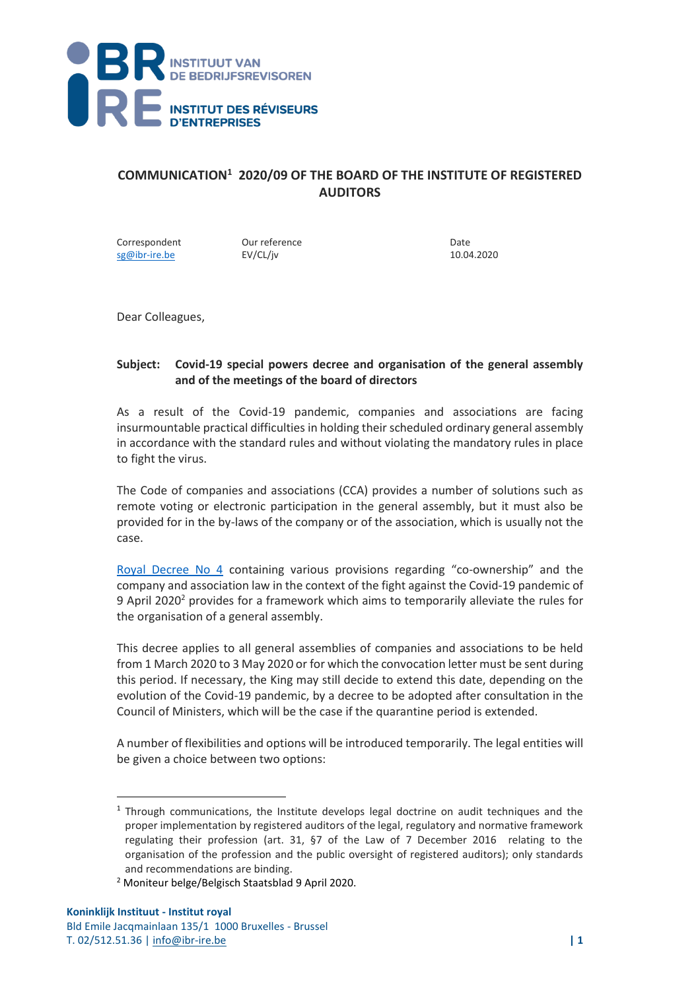

## **COMMUNICATION<sup>1</sup> 2020/09 OF THE BOARD OF THE INSTITUTE OF REGISTERED AUDITORS**

Correspondent Dur reference Date Date<br>
Sg@ibr-ire.be EV/CL/iv Reversion Date 10.04.2020  $sg@ibr-ire.be$ 

Dear Colleagues,

## **Subject: Covid-19 special powers decree and organisation of the general assembly and of the meetings of the board of directors**

As a result of the Covid-19 pandemic, companies and associations are facing insurmountable practical difficulties in holding their scheduled ordinary general assembly in accordance with the standard rules and without violating the mandatory rules in place to fight the virus.

The Code of companies and associations (CCA) provides a number of solutions such as remote voting or electronic participation in the general assembly, but it must also be provided for in the by-laws of the company or of the association, which is usually not the case.

[Royal Decree No 4](https://doc.ibr-ire.be/nl/Documents/actueel/nieuws/AR-KB-9-4-2020.pdf) containing various provisions regarding "co-ownership" and the company and association law in the context of the fight against the Covid-19 pandemic of 9 April 2020<sup>2</sup> provides for a framework which aims to temporarily alleviate the rules for the organisation of a general assembly.

This decree applies to all general assemblies of companies and associations to be held from 1 March 2020 to 3 May 2020 or for which the convocation letter must be sent during this period. If necessary, the King may still decide to extend this date, depending on the evolution of the Covid-19 pandemic, by a decree to be adopted after consultation in the Council of Ministers, which will be the case if the quarantine period is extended.

A number of flexibilities and options will be introduced temporarily. The legal entities will be given a choice between two options:

<sup>1</sup> Through communications, the Institute develops legal doctrine on audit techniques and the proper implementation by registered auditors of the legal, regulatory and normative framework regulating their profession (art. 31, §7 of the Law of 7 December 2016 relating to the organisation of the profession and the public oversight of registered auditors); only standards and recommendations are binding.

<sup>2</sup> Moniteur belge/Belgisch Staatsblad 9 April 2020.